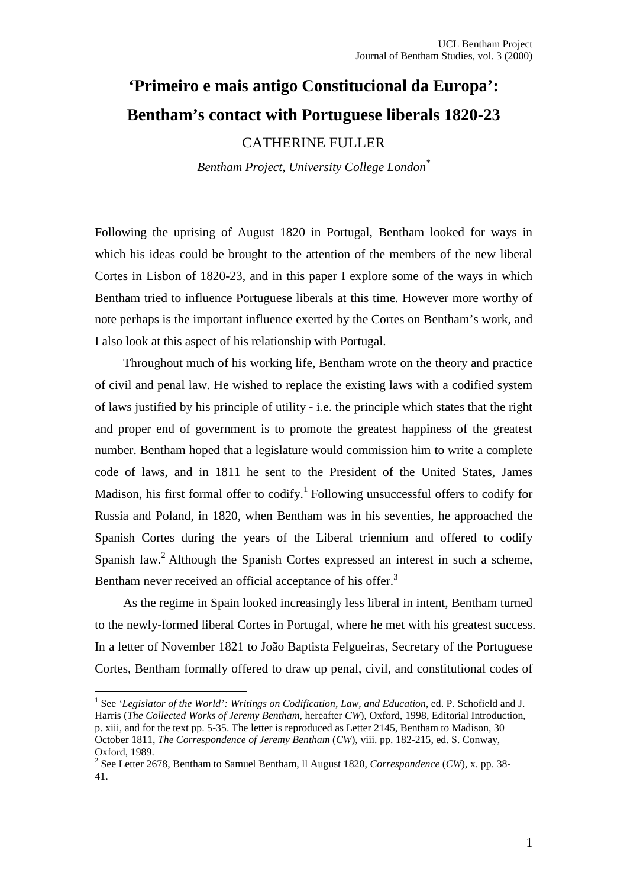## **'Primeiro e mais antigo Constitucional da Europa': Bentham's contact with Portuguese liberals 1820-23**

CATHERINE FULLER

*Bentham Project, University College London\**

Following the uprising of August 1820 in Portugal, Bentham looked for ways in which his ideas could be brought to the attention of the members of the new liberal Cortes in Lisbon of 1820-23, and in this paper I explore some of the ways in which Bentham tried to influence Portuguese liberals at this time. However more worthy of note perhaps is the important influence exerted by the Cortes on Bentham's work, and I also look at this aspect of his relationship with Portugal.

Throughout much of his working life, Bentham wrote on the theory and practice of civil and penal law. He wished to replace the existing laws with a codified system of laws justified by his principle of utility - i.e. the principle which states that the right and proper end of government is to promote the greatest happiness of the greatest number. Bentham hoped that a legislature would commission him to write a complete code of laws, and in 1811 he sent to the President of the United States, James Madison, his first formal offer to codify.<sup>[1](#page-0-0)</sup> Following unsuccessful offers to codify for Russia and Poland, in 1820, when Bentham was in his seventies, he approached the Spanish Cortes during the years of the Liberal triennium and offered to codify Spanish law.<sup>[2](#page-0-1)</sup> Although the Spanish Cortes expressed an interest in such a scheme, Bentham never received an official acceptance of his offer.<sup>[3](#page-0-2)</sup>

<span id="page-0-2"></span>As the regime in Spain looked increasingly less liberal in intent, Bentham turned to the newly-formed liberal Cortes in Portugal, where he met with his greatest success. In a letter of November 1821 to João Baptista Felgueiras, Secretary of the Portuguese Cortes, Bentham formally offered to draw up penal, civil, and constitutional codes of

<span id="page-0-0"></span><sup>&</sup>lt;sup>1</sup> See *'Legislator of the World': Writings on Codification, Law, and Education, ed. P. Schofield and J.* Harris (*The Collected Works of Jeremy Bentham*, hereafter *CW*), Oxford, 1998, Editorial Introduction, p. xiii, and for the text pp. 5-35. The letter is reproduced as Letter 2145, Bentham to Madison, 30 October 1811, *The Correspondence of Jeremy Bentham* (*CW*), viii. pp. 182-215, ed. S. Conway, Oxford, 1989.

<span id="page-0-1"></span><sup>2</sup> See Letter 2678, Bentham to Samuel Bentham, ll August 1820, *Correspondence* (*CW*), x. pp. 38- 41.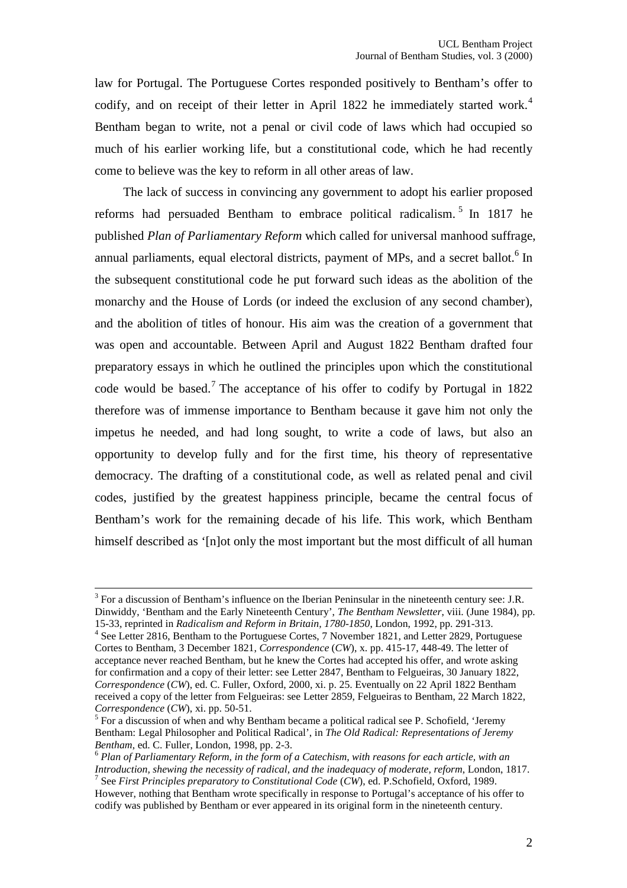law for Portugal. The Portuguese Cortes responded positively to Bentham's offer to codify, and on receipt of their letter in April 1822 he immediately started work.<sup>[4](#page-1-0)</sup> Bentham began to write, not a penal or civil code of laws which had occupied so much of his earlier working life, but a constitutional code, which he had recently come to believe was the key to reform in all other areas of law.

The lack of success in convincing any government to adopt his earlier proposed reforms had persuaded Bentham to embrace political radicalism.<sup>[5](#page-1-1)</sup> In 1817 he published *Plan of Parliamentary Reform* which called for universal manhood suffrage, annual parliaments, equal electoral districts, payment of MPs, and a secret ballot.  $6$  [In](#page-1-2) the subsequent constitutional code he put forward such ideas as the abolition of the monarchy and the House of Lords (or indeed the exclusion of any second chamber), and the abolition of titles of honour. His aim was the creation of a government that was open and accountable. Between April and August 1822 Bentham drafted four preparatory essays in which he outlined the principles upon which the constitutional code would be based.<sup>[7](#page-1-3)</sup> The acceptance of his offer to codify by Portugal in 1822 therefore was of immense importance to Bentham because it gave him not only the impetus he needed, and had long sought, to write a code of laws, but also an opportunity to develop fully and for the first time, his theory of representative democracy. The drafting of a constitutional code, as well as related penal and civil codes, justified by the greatest happiness principle, became the central focus of Bentham's work for the remaining decade of his life. This work, which Bentham himself described as '[n]ot only the most important but the most difficult of all human

 $3$  For a discussion of Bentham's influence on the Iberian Peninsular in the nineteenth century see: J.R. Dinwiddy, 'Bentham and the Early Nineteenth Century', *The Bentham Newsletter*, viii. (June 1984), pp. 15-33, reprinted in *Radicalism and Reform in Britain, 1780-1850*, London, 1992, pp. 291-313.

<span id="page-1-0"></span><sup>&</sup>lt;sup>4</sup> See Letter 2816, Bentham to the Portuguese Cortes, 7 November 1821, and Letter 2829, Portuguese Cortes to Bentham, 3 December 1821, *Correspondence* (*CW*), x. pp. 415-17, 448-49. The letter of acceptance never reached Bentham, but he knew the Cortes had accepted his offer, and wrote asking for confirmation and a copy of their letter: see Letter 2847, Bentham to Felgueiras, 30 January 1822, *Correspondence* (*CW*), ed. C. Fuller, Oxford, 2000, xi. p. 25. Eventually on 22 April 1822 Bentham received a copy of the letter from Felgueiras: see Letter 2859, Felgueiras to Bentham, 22 March 1822, *Correspondence* (*CW*), xi. pp. 50-51.

<span id="page-1-1"></span><sup>&</sup>lt;sup>5</sup> For a discussion of when and why Bentham became a political radical see P. Schofield, 'Jeremy Bentham: Legal Philosopher and Political Radical', in *The Old Radical: Representations of Jeremy Bentham*, ed. C. Fuller, London, 1998, pp. 2-3.

<span id="page-1-2"></span><sup>6</sup> *Plan of Parliamentary Reform, in the form of a Catechism, with reasons for each article, with an Introduction, shewing the necessity of radical, and the inadequacy of moderate, reform*, London, 1817. 7 See *First Principles preparatory to Constitutional Code* (*CW*), ed. P.Schofield, Oxford, 1989.

<span id="page-1-3"></span>However, nothing that Bentham wrote specifically in response to Portugal's acceptance of his offer to codify was published by Bentham or ever appeared in its original form in the nineteenth century.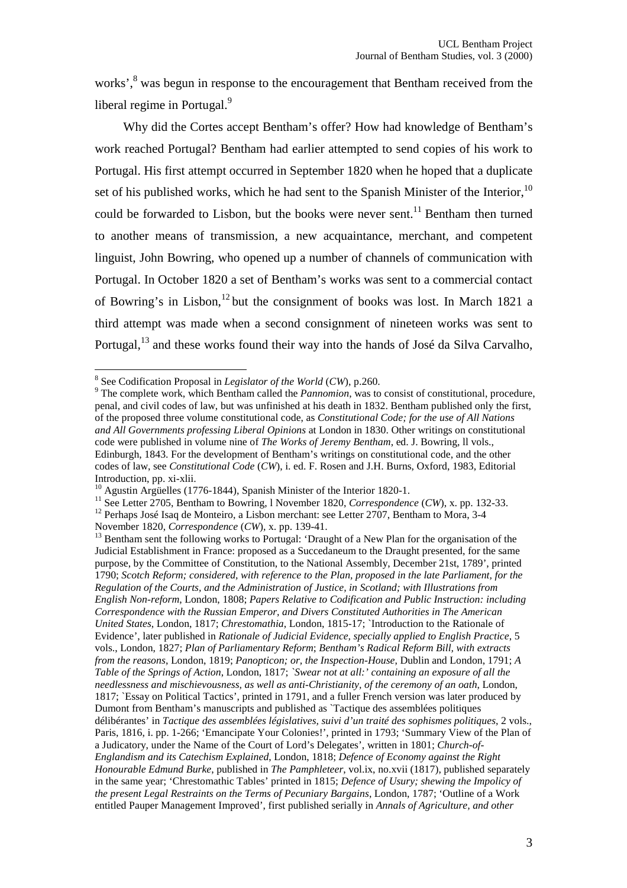works[',](#page-2-0)<sup>[8](#page-2-0)</sup> was begun in response to the encouragement that Bentham received from the liberal regime in Portugal.<sup>[9](#page-2-1)</sup>

Why did the Cortes accept Bentham's offer? How had knowledge of Bentham's work reached Portugal? Bentham had earlier attempted to send copies of his work to Portugal. His first attempt occurred in September 1820 when he hoped that a duplicate set of his published works, which he had sent to the Spanish Minister of the Interior,  $10$ couldbe forwarded to Lisbon, but the books were never sent[.](#page-2-3)<sup>11</sup> Bentham then turned to another means of transmission, a new acquaintance, merchant, and competent linguist, John Bowring, who opened up a number of channels of communication with Portugal. In October 1820 a set of Bentham's works was sent to a commercial contact of Bowring's in Lisbon,  $12$  but the consignment of books was lost. In March 1821 a third attempt was made when a second consignment of nineteen works was sent to Portugal,<sup>[13](#page-2-5)</sup> and these works found their way into the hands of José da Silva Carvalho,

<span id="page-2-4"></span><span id="page-2-3"></span><sup>11</sup> See Letter 2705, Bentham to Bowring, 1 November 1820, *Correspondence* (*CW*), x. pp. 132-33.

<span id="page-2-0"></span><sup>8</sup> See Codification Proposal in *Legislator of the World* (*CW*), p.260.

<span id="page-2-1"></span><sup>&</sup>lt;sup>9</sup> The complete work, which Bentham called the *Pannomion*, was to consist of constitutional, procedure, penal, and civil codes of law, but was unfinished at his death in 1832. Bentham published only the first, of the proposed three volume constitutional code, as *Constitutional Code; for the use of All Nations and All Governments professing Liberal Opinions* at London in 1830. Other writings on constitutional code were published in volume nine of *The Works of Jeremy Bentham*, ed. J. Bowring, ll vols., Edinburgh, 1843. For the development of Bentham's writings on constitutional code, and the other codes of law, see *Constitutional Code* (*CW*), i. ed. F. Rosen and J.H. Burns, Oxford, 1983, Editorial Introduction, pp. xi-xlii.

<span id="page-2-2"></span><sup>&</sup>lt;sup>10</sup> Agustin Argüelles (1776-1844), Spanish Minister of the Interior 1820-1.

<sup>&</sup>lt;sup>12</sup> Perhaps José Isaq de Monteiro, a Lisbon merchant: see Letter 2707, Bentham to Mora, 3-4 November 1820, *Correspondence* (*CW*), x. pp. 139-41.

<span id="page-2-5"></span><sup>&</sup>lt;sup>13</sup> Bentham sent the following works to Portugal: 'Draught of a New Plan for the organisation of the Judicial Establishment in France: proposed as a Succedaneum to the Draught presented, for the same purpose, by the Committee of Constitution, to the National Assembly, December 21st, 1789', printed 1790; *Scotch Reform; considered, with reference to the Plan, proposed in the late Parliament, for the Regulation of the Courts, and the Administration of Justice, in Scotland; with Illustrations from English Non-reform*, London, 1808; *Papers Relative to Codification and Public Instruction: including Correspondence with the Russian Emperor, and Divers Constituted Authorities in The American United States*, London, 1817; *Chrestomathia*, London, 1815-17; `Introduction to the Rationale of Evidence', later published in *Rationale of Judicial Evidence, specially applied to English Practice*, 5 vols., London, 1827; *Plan of Parliamentary Reform*; *Bentham's Radical Reform Bill, with extracts from the reasons*, London, 1819; *Panopticon; or, the Inspection-House*, Dublin and London, 1791; *A Table of the Springs of Action*, London, 1817; *`Swear not at all:' containing an exposure of all the needlessness and mischievousness, as well as anti-Christianity, of the ceremony of an oath*, London, 1817; `Essay on Political Tactics', printed in 1791, and a fuller French version was later produced by Dumont from Bentham's manuscripts and published as `Tactique des assemblées politiques délibérantes' in *Tactique des assemblées législatives, suivi d'un traité des sophismes politiques*, 2 vols., Paris, 1816, i. pp. 1-266; 'Emancipate Your Colonies!', printed in 1793; 'Summary View of the Plan of a Judicatory, under the Name of the Court of Lord's Delegates', written in 1801; *Church-of-Englandism and its Catechism Explained*, London, 1818; *Defence of Economy against the Right Honourable Edmund Burke*, published in *The Pamphleteer*, vol.ix, no.xvii (1817), published separately in the same year; 'Chrestomathic Tables' printed in 1815; *Defence of Usury; shewing the Impolicy of the present Legal Restraints on the Terms of Pecuniary Bargains*, London, 1787; 'Outline of a Work entitled Pauper Management Improved', first published serially in *Annals of Agriculture, and other*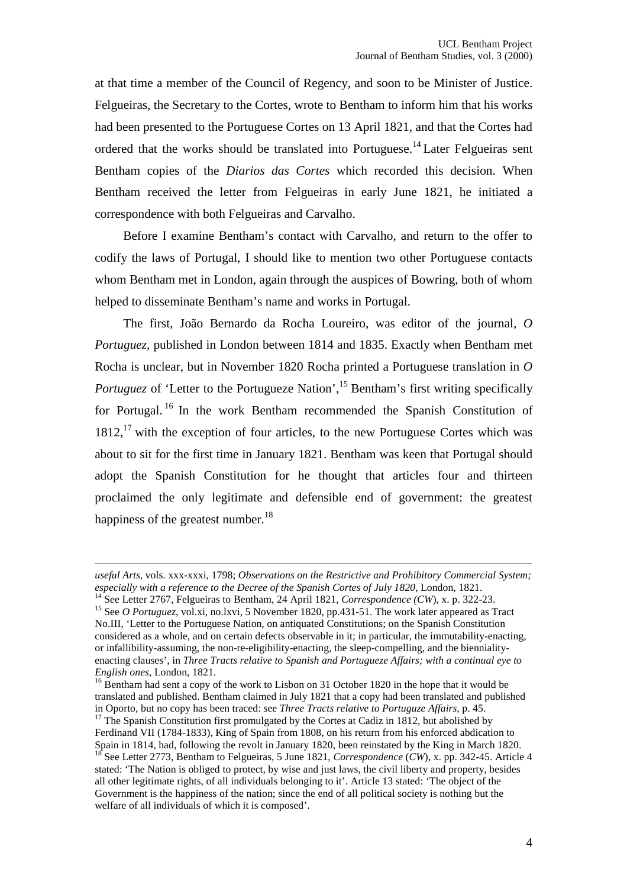at that time a member of the Council of Regency, and soon to be Minister of Justice. Felgueiras, the Secretary to the Cortes, wrote to Bentham to inform him that his works had been presented to the Portuguese Cortes on 13 April 1821, and that the Cortes had ordered that the works should be translated into Portuguese.<sup>[14](#page-3-0)</sup> Later Felgueiras sent Bentham copies of the *Diarios das Cortes* which recorded this decision. When Bentham received the letter from Felgueiras in early June 1821, he initiated a correspondence with both Felgueiras and Carvalho.

Before I examine Bentham's contact with Carvalho, and return to the offer to codify the laws of Portugal, I should like to mention two other Portuguese contacts whom Bentham met in London, again through the auspices of Bowring, both of whom helped to disseminate Bentham's name and works in Portugal.

The first, João Bernardo da Rocha Loureiro, was editor of the journal, *O Portuguez*, published in London between 1814 and 1835. Exactly when Bentham met Rocha is unclear, but in November 1820 Rocha printed a Portuguese translation in *O Portuguez* of 'Letter to the Portugueze Nation',<sup>[15](#page-3-1)</sup> Bentham's first writing specifically for Portugal. [16](#page-3-2) In the work Bentham recommended the Spanish Constitution of  $1812<sup>17</sup>$  $1812<sup>17</sup>$  $1812<sup>17</sup>$  with the exception of four articles, to the new Portuguese Cortes which was about to sit for the first time in January 1821. Bentham was keen that Portugal should adopt the Spanish Constitution for he thought that articles four and thirteen proclaimed the only legitimate and defensible end of government: the greatest happiness of the greatest number.<sup>[18](#page-3-4)</sup>

*useful Arts*, vols. xxx-xxxi, 1798; *Observations on the Restrictive and Prohibitory Commercial System; especially with a reference to the Decree of the Spanish Cortes of July 1820*, London, 1821.

<span id="page-3-1"></span><span id="page-3-0"></span><sup>&</sup>lt;sup>14</sup> See Letter 2767, Felgueiras to Bentham, 24 April 1821, *Correspondence (CW)*, x. p. 322-23.

<sup>&</sup>lt;sup>15</sup> See *O Portuguez*, vol.xi, no.lxvi, 5 November 1820, pp.431-51. The work later appeared as Tract No.III, 'Letter to the Portuguese Nation, on antiquated Constitutions; on the Spanish Constitution considered as a whole, and on certain defects observable in it; in particular, the immutability-enacting, or infallibility-assuming, the non-re-eligibility-enacting, the sleep-compelling, and the biennialityenacting clauses', in *Three Tracts relative to Spanish and Portugueze Affairs; with a continual eye to English ones*, London, 1821.

<span id="page-3-2"></span><sup>&</sup>lt;sup>16</sup> Bentham had sent a copy of the work to Lisbon on 31 October 1820 in the hope that it would be translated and published. Bentham claimed in July 1821 that a copy had been translated and published in Oporto, but no copy has been traced: see *Three Tracts relative to Portuguze Affairs*, p. 45.

<span id="page-3-4"></span><span id="page-3-3"></span> $17$  The Spanish Constitution first promulgated by the Cortes at Cadiz in 1812, but abolished by Ferdinand VII (1784-1833), King of Spain from 1808, on his return from his enforced abdication to Spain in 1814, had, following the revolt in January 1820, been reinstated by the King in March 1820. <sup>18</sup> See Letter 2773, Bentham to Felgueiras, 5 June 1821, *Correspondence* (*CW*), x. pp. 342-45. Article 4 stated: 'The Nation is obliged to protect, by wise and just laws, the civil liberty and property, besides all other legitimate rights, of all individuals belonging to it'. Article 13 stated: 'The object of the Government is the happiness of the nation; since the end of all political society is nothing but the welfare of all individuals of which it is composed'.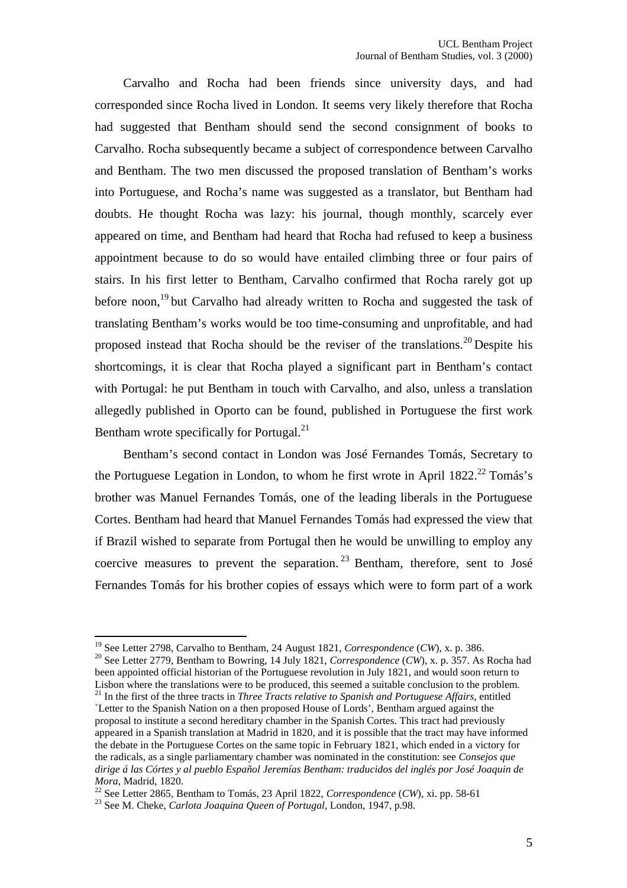Carvalho and Rocha had been friends since university days, and had corresponded since Rocha lived in London. It seems very likely therefore that Rocha had suggested that Bentham should send the second consignment of books to Carvalho. Rocha subsequently became a subject of correspondence between Carvalho and Bentham. The two men discussed the proposed translation of Bentham's works into Portuguese, and Rocha's name was suggested as a translator, but Bentham had doubts. He thought Rocha was lazy: his journal, though monthly, scarcely ever appeared on time, and Bentham had heard that Rocha had refused to keep a business appointment because to do so would have entailed climbing three or four pairs of stairs. In his first letter to Bentham, Carvalho confirmed that Rocha rarely got up before noon,<sup>[19](#page-4-0)</sup> but Carvalho had already written to Rocha and suggested the task of translating Bentham's works would be too time-consuming and unprofitable, and had proposed instead that Rocha should be the reviser of the translations.<sup>[20](#page-4-1)</sup> Despite his shortcomings, it is clear that Rocha played a significant part in Bentham's contact with Portugal: he put Bentham in touch with Carvalho, and also, unless a translation allegedly published in Oporto can be found, published in Portuguese the first work Bentham wrote specifically for Portugal.<sup>[21](#page-4-2)</sup>

Bentham's second contact in London was José Fernandes Tomás, Secretary to the Portuguese Legation in London, to whom he first wrote in April  $1822.^{22}$  $1822.^{22}$  $1822.^{22}$  Tomás's brother was Manuel Fernandes Tomás, one of the leading liberals in the Portuguese Cortes. Bentham had heard that Manuel Fernandes Tomás had expressed the view that if Brazil wished to separate from Portugal then he would be unwilling to employ any coercive measures to prevent the separation.  $2<sup>3</sup>$  Bentham, therefore, sent to José Fernandes Tomás for his brother copies of essays which were to form part of a work

<span id="page-4-1"></span><span id="page-4-0"></span><sup>19</sup> See Letter 2798, Carvalho to Bentham, 24 August 1821, *Correspondence* (*CW*), x. p. 386.

<sup>20</sup> See Letter 2779, Bentham to Bowring, 14 July 1821, *Correspondence* (*CW*), x. p. 357. As Rocha had been appointed official historian of the Portuguese revolution in July 1821, and would soon return to Lisbon where the translations were to be produced, this seemed a suitable conclusion to the problem.

<span id="page-4-2"></span><sup>21</sup> In the first of the three tracts in *Three Tracts relative to Spanish and Portuguese Affairs*, entitled `Letter to the Spanish Nation on a then proposed House of Lords', Bentham argued against the proposal to institute a second hereditary chamber in the Spanish Cortes. This tract had previously appeared in a Spanish translation at Madrid in 1820, and it is possible that the tract may have informed the debate in the Portuguese Cortes on the same topic in February 1821, which ended in a victory for the radicals, as a single parliamentary chamber was nominated in the constitution: see *Consejos que dirige á las Córtes y al pueblo Español Jeremías Bentham: traducidos del inglés por José Joaquin de Mora*, Madrid, 1820.

<span id="page-4-3"></span><sup>22</sup> See Letter 2865, Bentham to Tomás, 23 April 1822, *Correspondence* (*CW*), xi. pp. 58-61

<span id="page-4-4"></span><sup>23</sup> See M. Cheke, *Carlota Joaquina Queen of Portugal*, London, 1947, p.98.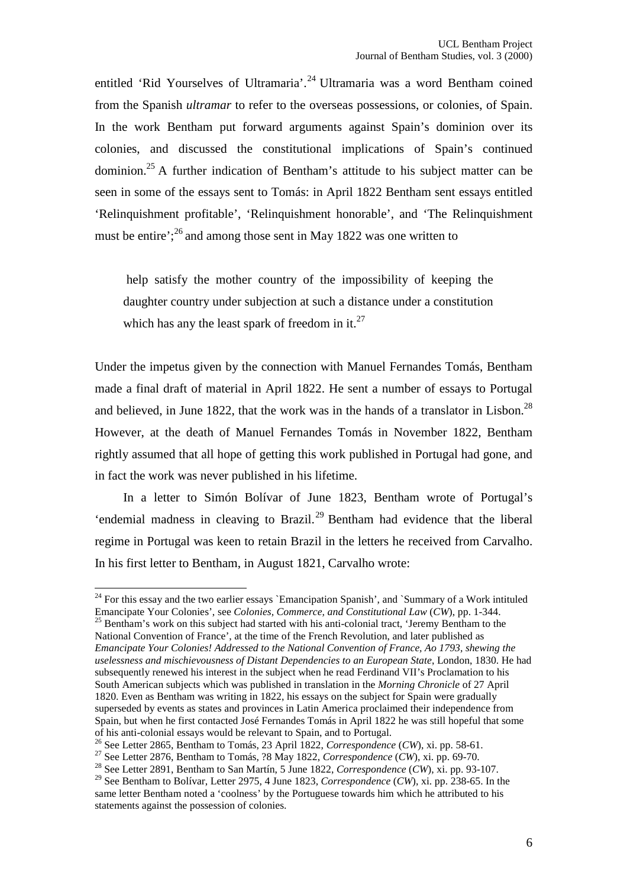entitled 'Rid Yourselves of Ultramaria'.<sup>[24](#page-5-0)</sup> Ultramaria was a word Bentham coined from the Spanish *ultramar* to refer to the overseas possessions, or colonies, of Spain. In the work Bentham put forward arguments against Spain's dominion over its colonies, and discussed the constitutional implications of Spain's continued dominion.<sup>[25](#page-5-1)</sup> A further indication of Bentham's attitude to his subject matter can be seen in some of the essays sent to Tomás: in April 1822 Bentham sent essays entitled 'Relinquishment profitable', 'Relinquishment honorable', and 'The Relinquishment must be entire';<sup>[26](#page-5-2)</sup> and among those sent in May 1822 was one written to

help satisfy the mother country of the impossibility of keeping the daughter country under subjection at such a distance under a constitution whichhas any the least spark of freedom in i[t.](#page-5-3) $^{27}$  $^{27}$  $^{27}$ 

Under the impetus given by the connection with Manuel Fernandes Tomás, Bentham made a final draft of material in April 1822. He sent a number of essays to Portugal and believed, in June 1822, that the work was in the hands of a translator in Lisbon.<sup>[28](#page-5-4)</sup> However, at the death of Manuel Fernandes Tomás in November 1822, Bentham rightly assumed that all hope of getting this work published in Portugal had gone, and in fact the work was never published in his lifetime.

In a letter to Simón Bolívar of June 1823, Bentham wrote of Portugal's 'endemial madness in cleaving to Brazil.<sup>[29](#page-5-5)</sup> Bentham had evidence that the liberal regime in Portugal was keen to retain Brazil in the letters he received from Carvalho. In his first letter to Bentham, in August 1821, Carvalho wrote:

<span id="page-5-1"></span><span id="page-5-0"></span> $24$  For this essay and the two earlier essays `Emancipation Spanish', and `Summary of a Work intituled Emancipate Your Colonies', see *Colonies, Commerce, and Constitutional Law* (*CW*), pp. 1-344.  $^{25}$  Bentham's work on this subject had started with his anti-colonial tract, 'Jeremy Bentham to the National Convention of France', at the time of the French Revolution, and later published as *Emancipate Your Colonies! Addressed to the National Convention of France, Ao 1793, shewing the uselessness and mischievousness of Distant Dependencies to an European State*, London, 1830. He had subsequently renewed his interest in the subject when he read Ferdinand VII's Proclamation to his South American subjects which was published in translation in the *Morning Chronicle* of 27 April 1820. Even as Bentham was writing in 1822, his essays on the subject for Spain were gradually superseded by events as states and provinces in Latin America proclaimed their independence from Spain, but when he first contacted José Fernandes Tomás in April 1822 he was still hopeful that some of his anti-colonial essays would be relevant to Spain, and to Portugal.

<span id="page-5-2"></span><sup>26</sup> See Letter 2865, Bentham to Tomás, 23 April 1822, *Correspondence* (*CW*), xi. pp. 58-61.

<span id="page-5-3"></span><sup>27</sup> See Letter 2876, Bentham to Tomás, ?8 May 1822, *Correspondence* (*CW*), xi. pp. 69-70.

<span id="page-5-4"></span><sup>28</sup> See Letter 2891, Bentham to San Martín, 5 June 1822, *Correspondence* (*CW*), xi. pp. 93-107.

<span id="page-5-5"></span><sup>29</sup> See Bentham to Bolívar, Letter 2975, 4 June 1823, *Correspondence* (*CW*), xi. pp. 238-65. In the same letter Bentham noted a 'coolness' by the Portuguese towards him which he attributed to his statements against the possession of colonies.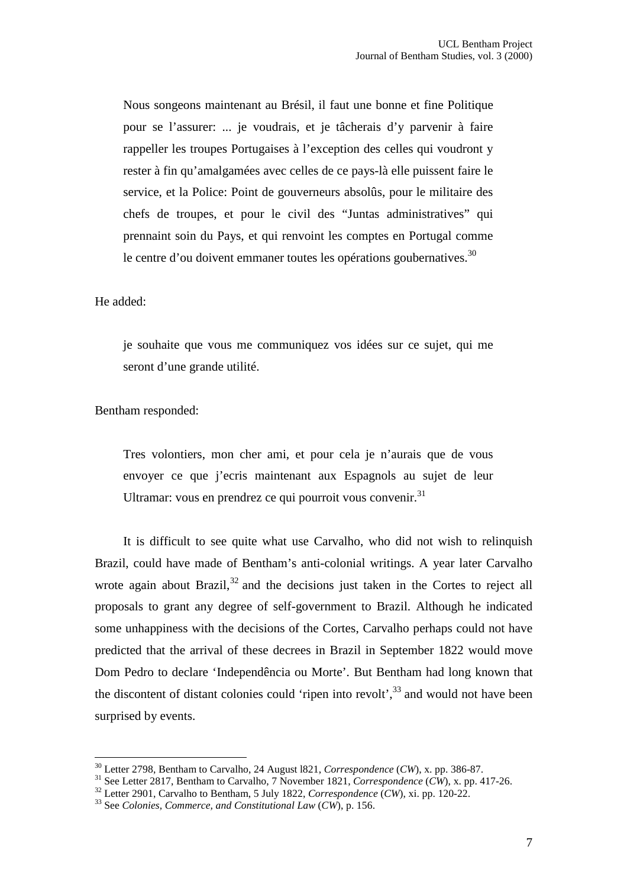Nous songeons maintenant au Brésil, il faut une bonne et fine Politique pour se l'assurer: ... je voudrais, et je tâcherais d'y parvenir à faire rappeller les troupes Portugaises à l'exception des celles qui voudront y rester à fin qu'amalgamées avec celles de ce pays-là elle puissent faire le service, et la Police: Point de gouverneurs absolûs, pour le militaire des chefs de troupes, et pour le civil des "Juntas administratives" qui prennaint soin du Pays, et qui renvoint les comptes en Portugal comme le centre d'ou doivent emmaner toutes les opérations goubernatives.<sup>[30](#page-6-0)</sup>

## He added:

je souhaite que vous me communiquez vos idées sur ce sujet, qui me seront d'une grande utilité.

Bentham responded:

Tres volontiers, mon cher ami, et pour cela je n'aurais que de vous envoyer ce que j'ecris maintenant aux Espagnols au sujet de leur Ultramar: vous en prendrez ce qui pourroit vous convenir. $31$ 

It is difficult to see quite what use Carvalho, who did not wish to relinquish Brazil, could have made of Bentham's anti-colonial writings. A year later Carvalho wrote again about Brazil, $32$  and the decisions just taken in the Cortes to reject all proposals to grant any degree of self-government to Brazil. Although he indicated some unhappiness with the decisions of the Cortes, Carvalho perhaps could not have predicted that the arrival of these decrees in Brazil in September 1822 would move Dom Pedro to declare 'Independência ou Morte'. But Bentham had long known that the discontent of distant colonies could 'ripen into revolt',<sup>[33](#page-6-3)</sup> and would not have been surprised by events.

<span id="page-6-0"></span><sup>30</sup> Letter 2798, Bentham to Carvalho, 24 August l821, *Correspondence* (*CW*), x. pp. 386-87.

<span id="page-6-1"></span><sup>31</sup> See Letter 2817, Bentham to Carvalho, 7 November 1821, *Correspondence* (*CW*), x. pp. 417-26.

<span id="page-6-3"></span><span id="page-6-2"></span><sup>32</sup> Letter 2901, Carvalho to Bentham, 5 July 1822, *Correspondence* (*CW*), xi. pp. 120-22.

<sup>33</sup> See *Colonies, Commerce, and Constitutional Law* (*CW*), p. 156.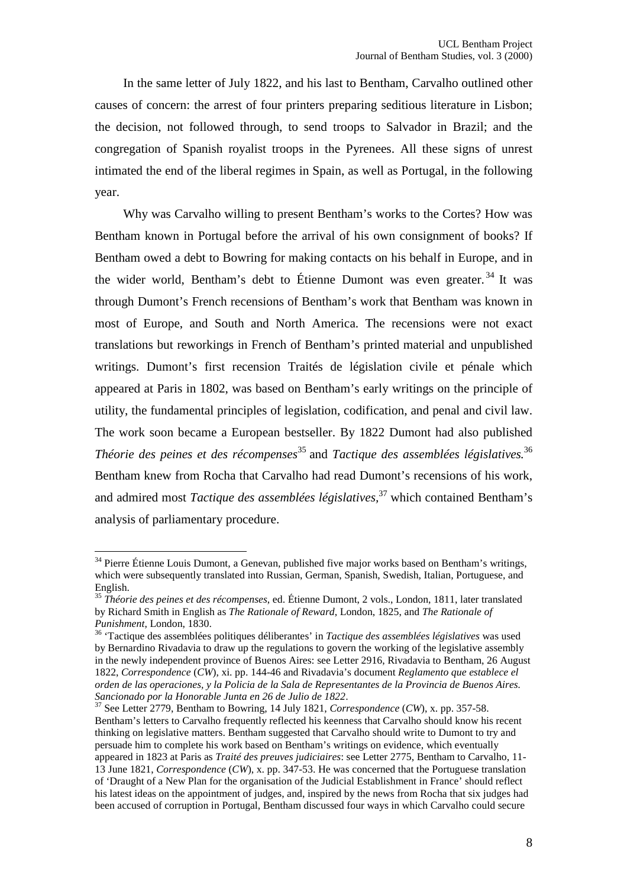In the same letter of July 1822, and his last to Bentham, Carvalho outlined other causes of concern: the arrest of four printers preparing seditious literature in Lisbon; the decision, not followed through, to send troops to Salvador in Brazil; and the congregation of Spanish royalist troops in the Pyrenees. All these signs of unrest intimated the end of the liberal regimes in Spain, as well as Portugal, in the following year.

Why was Carvalho willing to present Bentham's works to the Cortes? How was Bentham known in Portugal before the arrival of his own consignment of books? If Bentham owed a debt to Bowring for making contacts on his behalf in Europe, and in the wider world, Bentham's debt to Étienne Dumont was even greater.<sup>[34](#page-7-0)</sup> It was through Dumont's French recensions of Bentham's work that Bentham was known in most of Europe, and South and North America. The recensions were not exact translations but reworkings in French of Bentham's printed material and unpublished writings. Dumont's first recension Traités de législation civile et pénale which appeared at Paris in 1802, was based on Bentham's early writings on the principle of utility, the fundamental principles of legislation, codification, and penal and civil law. The work soon became a European bestseller. By 1822 Dumont had also published *Théorie des peines et des récompenses*[35](#page-7-1) and *Tactique des assemblées législatives.*[36](#page-7-2) Bentham knew from Rocha that Carvalho had read Dumont's recensions of his work, and admired most *Tactique des assemblées législatives,*[37](#page-7-3) which contained Bentham's analysis of parliamentary procedure.

<span id="page-7-0"></span><sup>&</sup>lt;sup>34</sup> Pierre Étienne Louis Dumont, a Genevan, published five major works based on Bentham's writings, which were subsequently translated into Russian, German, Spanish, Swedish, Italian, Portuguese, and English.

<span id="page-7-1"></span><sup>35</sup> *Théorie des peines et des récompenses*, ed. Étienne Dumont, 2 vols., London, 1811, later translated by Richard Smith in English as *The Rationale of Reward*, London, 1825, and *The Rationale of Punishment*, London, 1830.

<span id="page-7-2"></span><sup>36</sup> 'Tactique des assemblées politiques déliberantes' in *Tactique des assemblées législatives* was used by Bernardino Rivadavia to draw up the regulations to govern the working of the legislative assembly in the newly independent province of Buenos Aires: see Letter 2916, Rivadavia to Bentham, 26 August 1822, *Correspondence* (*CW*), xi. pp. 144-46 and Rivadavia's document *Reglamento que establece el orden de las operaciones, y la Policia de la Sala de Representantes de la Provincia de Buenos Aires. Sancionado por la Honorable Junta en 26 de Julio de 1822*.

<span id="page-7-3"></span><sup>37</sup> See Letter 2779, Bentham to Bowring, 14 July 1821, *Correspondence* (*CW*), x. pp. 357-58. Bentham's letters to Carvalho frequently reflected his keenness that Carvalho should know his recent thinking on legislative matters. Bentham suggested that Carvalho should write to Dumont to try and persuade him to complete his work based on Bentham's writings on evidence, which eventually appeared in 1823 at Paris as *Traité des preuves judiciaires*: see Letter 2775, Bentham to Carvalho, 11- 13 June 1821, *Correspondence* (*CW*), x. pp. 347-53. He was concerned that the Portuguese translation of 'Draught of a New Plan for the organisation of the Judicial Establishment in France' should reflect his latest ideas on the appointment of judges, and, inspired by the news from Rocha that six judges had been accused of corruption in Portugal, Bentham discussed four ways in which Carvalho could secure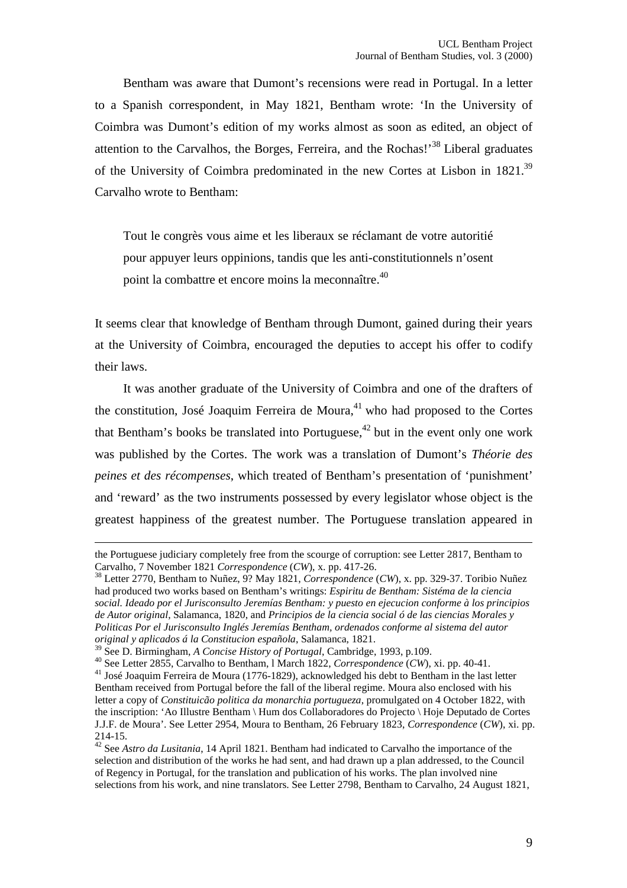Bentham was aware that Dumont's recensions were read in Portugal. In a letter to a Spanish correspondent, in May 1821, Bentham wrote: 'In the University of Coimbra was Dumont's edition of my works almost as soon as edited, an object of attention to the Carvalhos, the Borges, Ferreira, and the Rochas!<sup>[38](#page-8-0)</sup> Liberal graduates ofthe University of Coimbra predominated in the new Cortes at Lisbon in 1821[.](#page-8-1)<sup>39</sup> Carvalho wrote to Bentham:

Tout le congrès vous aime et les liberaux se réclamant de votre autoritié pour appuyer leurs oppinions, tandis que les anti-constitutionnels n'osent point la combattre et encore moins la meconnaître.<sup>[40](#page-8-2)</sup>

It seems clear that knowledge of Bentham through Dumont, gained during their years at the University of Coimbra, encouraged the deputies to accept his offer to codify their laws.

It was another graduate of the University of Coimbra and one of the drafters of the constitution, José Joaquim Ferreira de Moura, $41$  who had proposed to the Cortes that Bentham's books be translated into Portuguese,<sup> $42$ </sup> but in the event only one work was published by the Cortes. The work was a translation of Dumont's *Théorie des peines et des récompenses*, which treated of Bentham's presentation of 'punishment' and 'reward' as the two instruments possessed by every legislator whose object is the greatest happiness of the greatest number. The Portuguese translation appeared in

the Portuguese judiciary completely free from the scourge of corruption: see Letter 2817, Bentham to Carvalho, 7 November 1821 *Correspondence* (*CW*), x. pp. 417-26.

<span id="page-8-0"></span><sup>38</sup> Letter 2770, Bentham to Nuñez, 9? May 1821, *Correspondence* (*CW*), x. pp. 329-37. Toribio Nuñez had produced two works based on Bentham's writings: *Espiritu de Bentham: Sistéma de la ciencia social. Ideado por el Jurisconsulto Jeremías Bentham: y puesto en ejecucion conforme à los principios de Autor original*, Salamanca, 1820, and *Principios de la ciencia social ó de las ciencias Morales y Politicas Por el Jurisconsulto Inglés Jeremías Bentham, ordenados conforme al sistema del autor original y aplicados á la Constitucion española*, Salamanca, 1821.

<span id="page-8-2"></span><span id="page-8-1"></span><sup>39</sup> See D. Birmingham, *A Concise History of Portugal*, Cambridge, 1993, p.109.

<span id="page-8-3"></span><sup>40</sup> See Letter 2855, Carvalho to Bentham, l March 1822, *Correspondence* (*CW*), xi. pp. 40-41. <sup>41</sup> José Joaquim Ferreira de Moura (1776-1829), acknowledged his debt to Bentham in the last letter Bentham received from Portugal before the fall of the liberal regime. Moura also enclosed with his letter a copy of *Constituicão politica da monarchia portugueza*, promulgated on 4 October 1822, with the inscription: 'Ao Illustre Bentham \ Hum dos Collaboradores do Projecto \ Hoje Deputado de Cortes J.J.F. de Moura'. See Letter 2954, Moura to Bentham, 26 February 1823, *Correspondence* (*CW*), xi. pp. 214-15.

<span id="page-8-4"></span><sup>42</sup> See *Astro da Lusitania*, 14 April 1821. Bentham had indicated to Carvalho the importance of the selection and distribution of the works he had sent, and had drawn up a plan addressed, to the Council of Regency in Portugal, for the translation and publication of his works. The plan involved nine selections from his work, and nine translators. See Letter 2798, Bentham to Carvalho, 24 August 1821,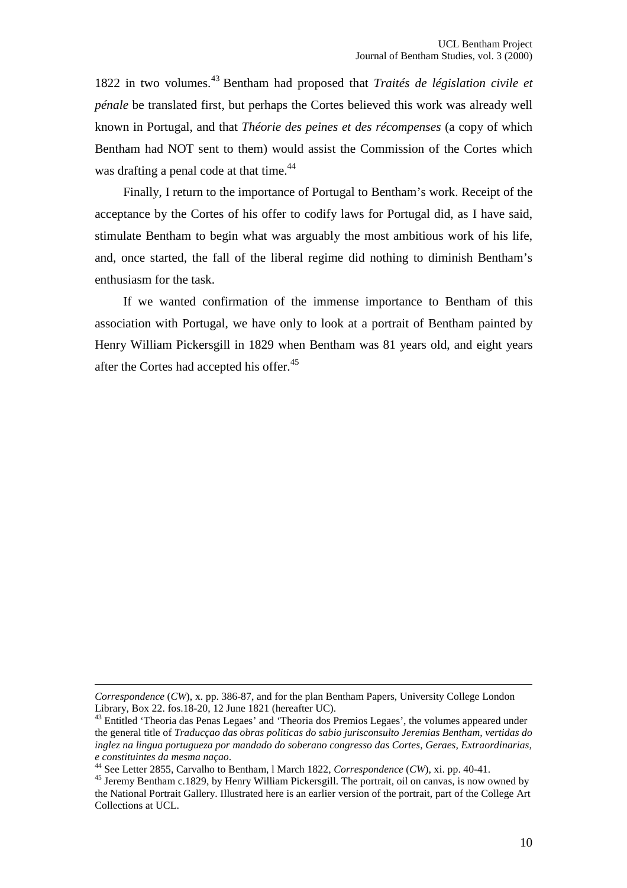1822 in two volumes.[43](#page-9-0) Bentham had proposed that *Traités de législation civile et pénale* be translated first, but perhaps the Cortes believed this work was already well known in Portugal, and that *Théorie des peines et des récompenses* (a copy of which Bentham had NOT sent to them) would assist the Commission of the Cortes which was drafting a penal code at that time.<sup>[44](#page-9-1)</sup>

Finally, I return to the importance of Portugal to Bentham's work. Receipt of the acceptance by the Cortes of his offer to codify laws for Portugal did, as I have said, stimulate Bentham to begin what was arguably the most ambitious work of his life, and, once started, the fall of the liberal regime did nothing to diminish Bentham's enthusiasm for the task.

If we wanted confirmation of the immense importance to Bentham of this association with Portugal, we have only to look at a portrait of Bentham painted by Henry William Pickersgill in 1829 when Bentham was 81 years old, and eight years after the Cortes had accepted his offer.<sup>[45](#page-9-2)</sup>

*Correspondence* (*CW*), x. pp. 386-87, and for the plan Bentham Papers, University College London Library, Box 22. fos.18-20, 12 June 1821 (hereafter UC).

<span id="page-9-0"></span><sup>&</sup>lt;sup>43</sup> Entitled 'Theoria das Penas Legaes' and 'Theoria dos Premios Legaes', the volumes appeared under the general title of *Traducçao das obras politicas do sabio jurisconsulto Jeremias Bentham, vertidas do inglez na lingua portugueza por mandado do soberano congresso das Cortes, Geraes, Extraordinarias, e constituintes da mesma naçao*.

<span id="page-9-1"></span><sup>44</sup> See Letter 2855, Carvalho to Bentham, l March 1822, *Correspondence* (*CW*), xi. pp. 40-41.

<span id="page-9-2"></span><sup>&</sup>lt;sup>45</sup> Jeremy Bentham c.1829, by Henry William Pickersgill. The portrait, oil on canvas, is now owned by the National Portrait Gallery. Illustrated here is an earlier version of the portrait, part of the College Art Collections at UCL.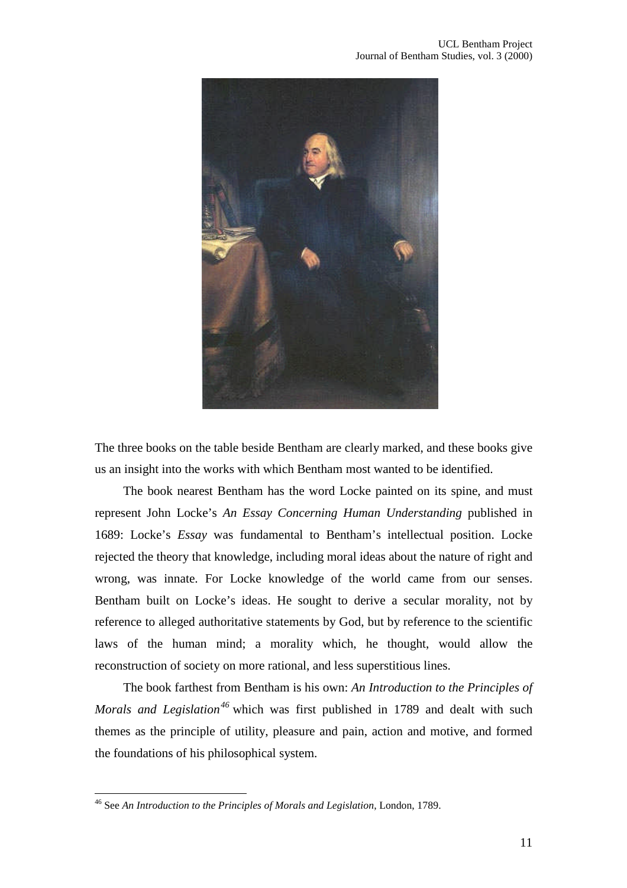

The three books on the table beside Bentham are clearly marked, and these books give us an insight into the works with which Bentham most wanted to be identified.

The book nearest Bentham has the word Locke painted on its spine, and must represent John Locke's *An Essay Concerning Human Understanding* published in 1689: Locke's *Essay* was fundamental to Bentham's intellectual position. Locke rejected the theory that knowledge, including moral ideas about the nature of right and wrong, was innate. For Locke knowledge of the world came from our senses. Bentham built on Locke's ideas. He sought to derive a secular morality, not by reference to alleged authoritative statements by God, but by reference to the scientific laws of the human mind; a morality which, he thought, would allow the reconstruction of society on more rational, and less superstitious lines.

The book farthest from Bentham is his own: *An Introduction to the Principles of Morals and Legislation[46](#page-10-0)* which was first published in 1789 and dealt with such themes as the principle of utility, pleasure and pain, action and motive, and formed the foundations of his philosophical system.

<span id="page-10-0"></span><sup>46</sup> See *An Introduction to the Principles of Morals and Legislation*, London, 1789.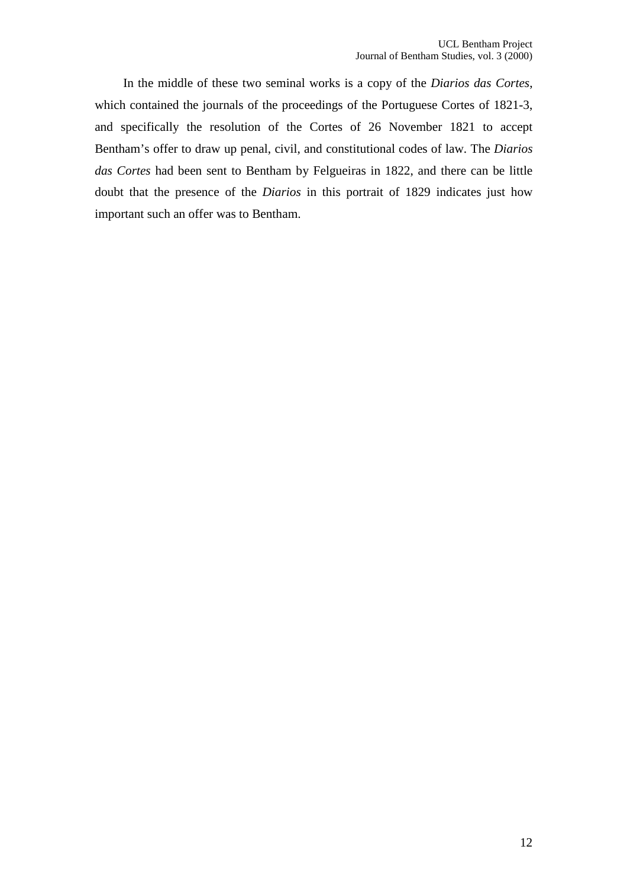In the middle of these two seminal works is a copy of the *Diarios das Cortes*, which contained the journals of the proceedings of the Portuguese Cortes of 1821-3, and specifically the resolution of the Cortes of 26 November 1821 to accept Bentham's offer to draw up penal, civil, and constitutional codes of law. The *Diarios das Cortes* had been sent to Bentham by Felgueiras in 1822, and there can be little doubt that the presence of the *Diarios* in this portrait of 1829 indicates just how important such an offer was to Bentham.